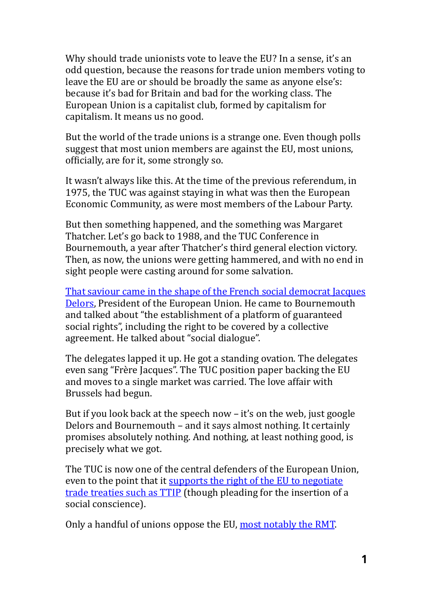Why should trade unionists vote to leave the EU? In a sense, it's an odd question, because the reasons for trade union members voting to leave the EU are or should be broadly the same as anyone else's: because it's bad for Britain and bad for the working class. The European Union is a capitalist club, formed by capitalism for capitalism. It means us no good.

But the world of the trade unions is a strange one. Even though polls suggest that most union members are against the EU, most unions. officially, are for it, some strongly so.

It wasn't always like this. At the time of the previous referendum, in 1975, the TUC was against staving in what was then the European Economic Community, as were most members of the Labour Party.

But then something happened, and the something was Margaret Thatcher. Let's go back to 1988, and the TUC Conference in Bournemouth, a year after Thatcher's third general election victory. Then, as now, the unions were getting hammered, and with no end in sight people were casting around for some salvation.

That saviour came in the shape of the French social democrat Jacques Delors, President of the European Union. He came to Bournemouth and talked about "the establishment of a platform of guaranteed social rights", including the right to be covered by a collective agreement. He talked about "social dialogue".

The delegates lapped it up. He got a standing ovation. The delegates even sang "Frère Jacques". The TUC position paper backing the EU and moves to a single market was carried. The love affair with Brussels had begun.

But if you look back at the speech now  $-$  it's on the web, just google Delors and Bournemouth - and it says almost nothing. It certainly promises absolutely nothing. And nothing, at least nothing good, is precisely what we got.

The TUC is now one of the central defenders of the European Union, even to the point that it supports the right of the EU to negotiate trade treaties such as TTIP (though pleading for the insertion of a social conscience).

Only a handful of unions oppose the EU, most notably the RMT.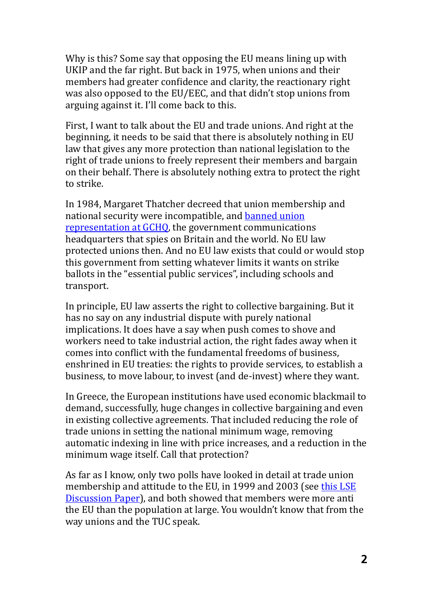Why is this? Some say that opposing the EU means lining up with UKIP and the far right. But back in 1975, when unions and their members had greater confidence and clarity, the reactionary right was also opposed to the EU/EEC, and that didn't stop unions from arguing against it. I'll come back to this.

First, I want to talk about the EU and trade unions. And right at the beginning, it needs to be said that there is absolutely nothing in EU law that gives any more protection than national legislation to the right of trade unions to freely represent their members and bargain on their behalf. There is absolutely nothing extra to protect the right to strike.

In 1984, Margaret Thatcher decreed that union membership and national security were incompatible, and banned union representation at GCHO, the government communications headquarters that spies on Britain and the world. No EU law protected unions then. And no EU law exists that could or would stop this government from setting whatever limits it wants on strike ballots in the "essential public services", including schools and transport. 

In principle, EU law asserts the right to collective bargaining. But it has no say on any industrial dispute with purely national implications. It does have a say when push comes to shove and workers need to take industrial action, the right fades away when it comes into conflict with the fundamental freedoms of business, enshrined in EU treaties: the rights to provide services, to establish a business, to move labour, to invest (and de-invest) where they want.

In Greece, the European institutions have used economic blackmail to demand, successfully, huge changes in collective bargaining and even in existing collective agreements. That included reducing the role of trade unions in setting the national minimum wage, removing automatic indexing in line with price increases, and a reduction in the minimum wage itself. Call that protection?

As far as I know, only two polls have looked in detail at trade union membership and attitude to the EU, in 1999 and 2003 (see this LSE Discussion Paper), and both showed that members were more anti the EU than the population at large. You wouldn't know that from the way unions and the TUC speak.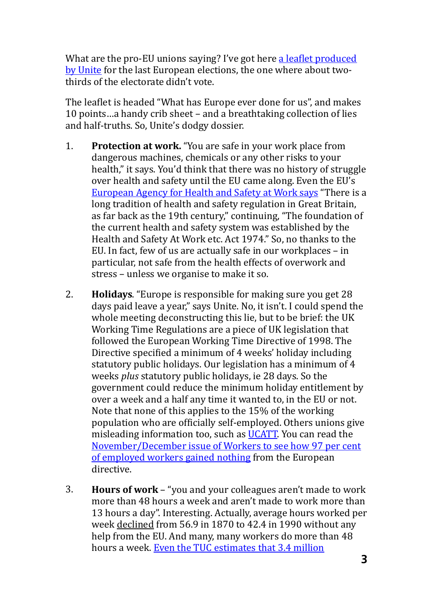What are the pro-EU unions saying? I've got here a leaflet produced by Unite for the last European elections, the one where about twothirds of the electorate didn't vote.

The leaflet is headed "What has Europe ever done for us", and makes 10 points...a handy crib sheet – and a breathtaking collection of lies and half-truths. So, Unite's dodgy dossier.

- 1. **Protection at work.** "You are safe in your work place from dangerous machines, chemicals or any other risks to your health," it says. You'd think that there was no history of struggle over health and safety until the EU came along. Even the EU's European Agency for Health and Safety at Work says "There is a long tradition of health and safety regulation in Great Britain, as far back as the 19th century," continuing, "The foundation of the current health and safety system was established by the Health and Safety At Work etc. Act 1974." So, no thanks to the EU. In fact, few of us are actually safe in our workplaces  $-$  in particular, not safe from the health effects of overwork and stress – unless we organise to make it so.
- 2. **Holidays.** "Europe is responsible for making sure you get 28 days paid leave a year," says Unite. No, it isn't. I could spend the whole meeting deconstructing this lie, but to be brief: the UK Working Time Regulations are a piece of UK legislation that followed the European Working Time Directive of 1998. The Directive specified a minimum of 4 weeks' holiday including statutory public holidays. Our legislation has a minimum of 4 weeks *plus* statutory public holidays, ie 28 days. So the government could reduce the minimum holiday entitlement by over a week and a half any time it wanted to, in the EU or not. Note that none of this applies to the  $15\%$  of the working population who are officially self-employed. Others unions give misleading information too, such as UCATT. You can read the November/December issue of Workers to see how 97 per cent of employed workers gained nothing from the European directive.
- 3. **Hours of work** "you and your colleagues aren't made to work more than 48 hours a week and aren't made to work more than 13 hours a day". Interesting. Actually, average hours worked per week declined from 56.9 in 1870 to 42.4 in 1990 without any help from the EU. And many, many workers do more than 48 hours a week. Even the TUC estimates that 3.4 million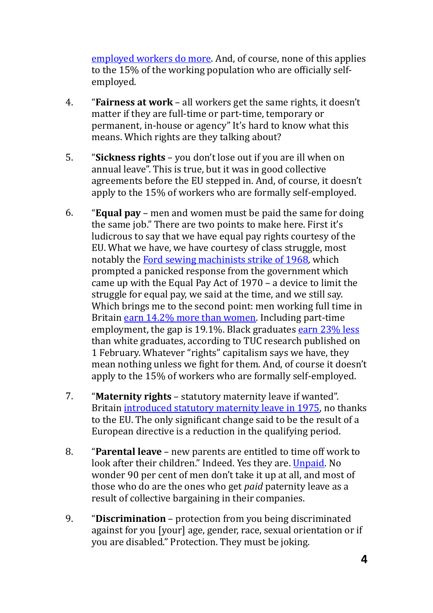employed workers do more. And, of course, none of this applies to the  $15\%$  of the working population who are officially selfemployed. 

- 4. **"Fairness at work** all workers get the same rights, it doesn't matter if they are full-time or part-time, temporary or permanent, in-house or agency" It's hard to know what this means. Which rights are they talking about?
- 5. "Sickness rights you don't lose out if you are ill when on annual leave". This is true, but it was in good collective agreements before the EU stepped in. And, of course, it doesn't apply to the 15% of workers who are formally self-employed.
- 6. **"Equal pay** men and women must be paid the same for doing the same job." There are two points to make here. First it's ludicrous to say that we have equal pay rights courtesy of the EU. What we have, we have courtesy of class struggle, most notably the Ford sewing machinists strike of 1968, which prompted a panicked response from the government which came up with the Equal Pay Act of  $1970 - a$  device to limit the struggle for equal pay, we said at the time, and we still say. Which brings me to the second point: men working full time in Britain earn 14.2% more than women. Including part-time employment, the gap is 19.1%. Black graduates  $\frac{123}{6}$  less than white graduates, according to TUC research published on 1 February. Whatever "rights" capitalism says we have, they mean nothing unless we fight for them. And, of course it doesn't apply to the 15% of workers who are formally self-employed.
- 7. **"Maternity rights** statutory maternity leave if wanted". Britain introduced statutory maternity leave in 1975, no thanks to the EU. The only significant change said to be the result of a European directive is a reduction in the qualifying period.
- 8. **"Parental leave** new parents are entitled to time off work to look after their children." Indeed. Yes they are. [Unpaid](https://www.gov.uk/government/uploads/system/uploads/attachment_data/file/82797/12-1285-parental-leave-regulations-2013-impact.pdf). No wonder 90 per cent of men don't take it up at all, and most of those who do are the ones who get *paid* paternity leave as a result of collective bargaining in their companies.
- 9. **"Discrimination** protection from you being discriminated against for you [your] age, gender, race, sexual orientation or if you are disabled." Protection. They must be joking.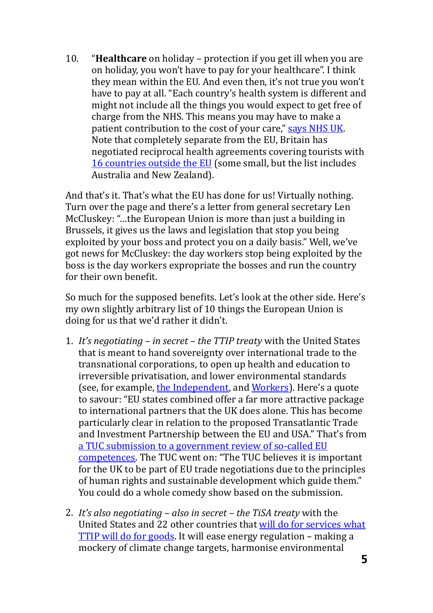10. **Healthcare** on holiday – protection if you get ill when you are on holiday, you won't have to pay for your healthcare". I think they mean within the EU. And even then, it's not true you won't have to pay at all. "Each country's health system is different and might not include all the things you would expect to get free of charge from the NHS. This means you may have to make a patient contribution to the cost of your care," says NHS UK. Note that completely separate from the EU, Britain has negotiated reciprocal health agreements covering tourists with 16 countries outside the EU (some small, but the list includes Australia and New Zealand).

And that's it. That's what the EU has done for us! Virtually nothing. Turn over the page and there's a letter from general secretary Len McCluskey: "...the European Union is more than just a building in Brussels, it gives us the laws and legislation that stop you being exploited by your boss and protect you on a daily basis." Well, we've got news for McCluskey: the day workers stop being exploited by the boss is the day workers expropriate the bosses and run the country for their own benefit.

So much for the supposed benefits. Let's look at the other side. Here's my own slightly arbitrary list of 10 things the European Union is doing for us that we'd rather it didn't.

- 1. It's negotiating in secret the TTIP treaty with the United States that is meant to hand sovereignty over international trade to the transnational corporations, to open up health and education to irreversible privatisation, and lower environmental standards (see, for example, the Independent, and [Workers\)](https://www.cpbml.org.uk/news/ttip-dagger-aimed-britain%25E2%2580%2599s-sovereignty). Here's a quote to savour: "EU states combined offer a far more attractive package to international partners that the UK does alone. This has become particularly clear in relation to the proposed Transatlantic Trade and Investment Partnership between the EU and USA." That's from a TUC submission to a government review of so-called EU competences. The TUC went on: "The TUC believes it is important for the UK to be part of EU trade negotiations due to the principles of human rights and sustainable development which guide them." You could do a whole comedy show based on the submission.
- 2. It's also negotiating also in secret the TiSA treaty with the United States and 22 other countries that will do for services what TTIP will do for goods. It will ease energy regulation – making a mockery of climate change targets, harmonise environmental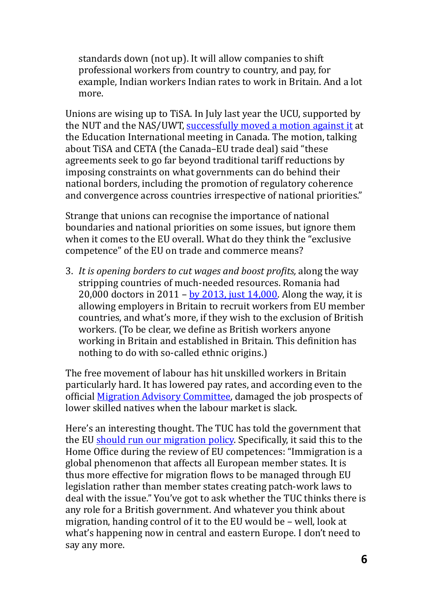standards down (not up). It will allow companies to shift professional workers from country to country, and pay, for example, Indian workers Indian rates to work in Britain. And a lot more. 

Unions are wising up to TiSA. In July last year the UCU, supported by the NUT and the NAS/UWT, successfully moved a motion against it at the Education International meeting in Canada. The motion, talking about TiSA and CETA (the Canada–EU trade deal) said "these agreements seek to go far beyond traditional tariff reductions by imposing constraints on what governments can do behind their national borders, including the promotion of regulatory coherence and convergence across countries irrespective of national priorities."

Strange that unions can recognise the importance of national boundaries and national priorities on some issues, but ignore them when it comes to the EU overall. What do they think the "exclusive" competence" of the EU on trade and commerce means?

3. It is opening borders to cut wages and boost profits, along the way stripping countries of much-needed resources. Romania had 20,000 doctors in  $2011 - by 2013$ , just  $14,000$ . Along the way, it is allowing employers in Britain to recruit workers from EU member countries, and what's more, if they wish to the exclusion of British workers. (To be clear, we define as British workers anyone working in Britain and established in Britain. This definition has nothing to do with so-called ethnic origins.)

The free movement of labour has hit unskilled workers in Britain particularly hard. It has lowered pay rates, and according even to the official Migration Advisory Committee, damaged the job prospects of lower skilled natives when the labour market is slack.

Here's an interesting thought. The TUC has told the government that the EU should run our migration policy. Specifically, it said this to the Home Office during the review of EU competences: "Immigration is a global phenomenon that affects all European member states. It is thus more effective for migration flows to be managed through EU legislation rather than member states creating patch-work laws to deal with the issue." You've got to ask whether the TUC thinks there is any role for a British government. And whatever you think about migration, handing control of it to the EU would be  $-$  well, look at what's happening now in central and eastern Europe. I don't need to say any more.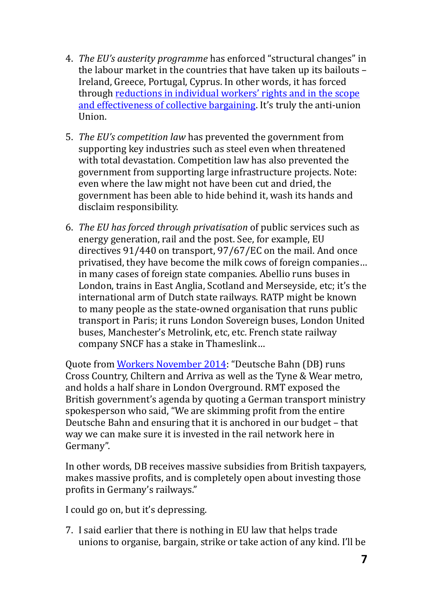- 4. *The EU's austerity programme* has enforced "structural changes" in the labour market in the countries that have taken up its bailouts  $-$ Ireland, Greece, Portugal, Cyprus. In other words, it has forced through reductions in individual workers' rights and in the scope and effectiveness of collective bargaining. It's truly the anti-union Union.
- 5. *The EU's competition law* has prevented the government from supporting key industries such as steel even when threatened with total devastation. Competition law has also prevented the government from supporting large infrastructure projects. Note: even where the law might not have been cut and dried, the government has been able to hide behind it, wash its hands and disclaim responsibility.
- 6. *The EU has forced through privatisation* of public services such as energy generation, rail and the post. See, for example, EU directives 91/440 on transport, 97/67/EC on the mail. And once privatised, they have become the milk cows of foreign companies... in many cases of foreign state companies. Abellio runs buses in London, trains in East Anglia, Scotland and Merseyside, etc; it's the international arm of Dutch state railways. RATP might be known to many people as the state-owned organisation that runs public transport in Paris; it runs London Sovereign buses, London United buses, Manchester's Metrolink, etc. etc. French state railway company SNCF has a stake in Thameslink...

Quote from Workers November 2014: "Deutsche Bahn (DB) runs Cross Country, Chiltern and Arriva as well as the Tyne & Wear metro, and holds a half share in London Overground. RMT exposed the British government's agenda by quoting a German transport ministry spokesperson who said, "We are skimming profit from the entire Deutsche Bahn and ensuring that it is anchored in our budget – that way we can make sure it is invested in the rail network here in Germany". 

In other words, DB receives massive subsidies from British taxpayers, makes massive profits, and is completely open about investing those profits in Germany's railways."

I could go on, but it's depressing.

7. I said earlier that there is nothing in EU law that helps trade unions to organise, bargain, strike or take action of any kind. I'll be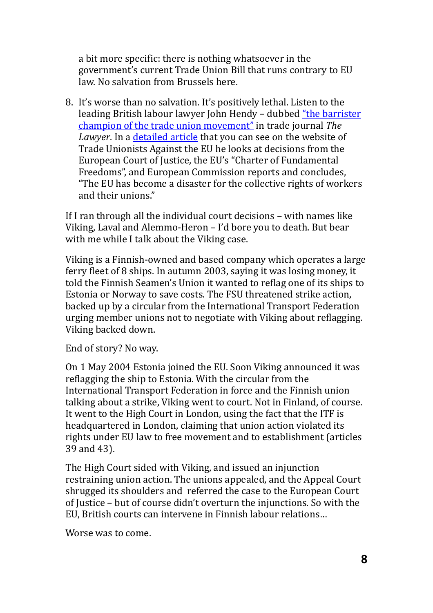a bit more specific: there is nothing whatsoever in the government's current Trade Union Bill that runs contrary to EU law. No salvation from Brussels here.

8. It's worse than no salvation. It's positively lethal. Listen to the leading British labour lawyer John Hendy - dubbed "the barrister champion of the trade union movement" in trade journal *The* Lawyer. In a **detailed article** that you can see on the website of Trade Unionists Against the EU he looks at decisions from the European Court of Justice, the EU's "Charter of Fundamental Freedoms", and European Commission reports and concludes, "The EU has become a disaster for the collective rights of workers and their unions."

If I ran through all the individual court decisions  $-$  with names like Viking, Laval and Alemmo-Heron – I'd bore you to death. But bear with me while I talk about the Viking case.

Viking is a Finnish-owned and based company which operates a large ferry fleet of 8 ships. In autumn 2003, saying it was losing money, it told the Finnish Seamen's Union it wanted to reflag one of its ships to Estonia or Norway to save costs. The FSU threatened strike action, backed up by a circular from the International Transport Federation urging member unions not to negotiate with Viking about reflagging. Viking backed down.

End of story? No way.

On 1 May 2004 Estonia joined the EU. Soon Viking announced it was reflagging the ship to Estonia. With the circular from the International Transport Federation in force and the Finnish union talking about a strike, Viking went to court. Not in Finland, of course. It went to the High Court in London, using the fact that the ITF is headquartered in London, claiming that union action violated its rights under EU law to free movement and to establishment (articles 39 and 43). 

The High Court sided with Viking, and issued an injunction restraining union action. The unions appealed, and the Appeal Court shrugged its shoulders and referred the case to the European Court of Justice – but of course didn't overturn the injunctions. So with the EU, British courts can intervene in Finnish labour relations...

Worse was to come.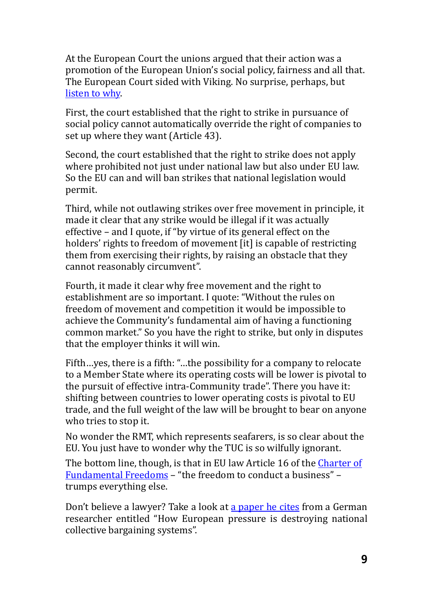At the European Court the unions argued that their action was a promotion of the European Union's social policy, fairness and all that. The European Court sided with Viking. No surprise, perhaps, but listen to why.

First, the court established that the right to strike in pursuance of social policy cannot automatically override the right of companies to set up where they want (Article 43).

Second, the court established that the right to strike does not apply where prohibited not just under national law but also under EU law. So the EU can and will ban strikes that national legislation would permit. 

Third, while not outlawing strikes over free movement in principle, it made it clear that any strike would be illegal if it was actually effective  $-$  and I quote, if "by virtue of its general effect on the holders' rights to freedom of movement [it] is capable of restricting them from exercising their rights, by raising an obstacle that they cannot reasonably circumvent".

Fourth, it made it clear why free movement and the right to establishment are so important. I quote: "Without the rules on freedom of movement and competition it would be impossible to achieve the Community's fundamental aim of having a functioning common market." So you have the right to strike, but only in disputes that the employer thinks it will win.

Fifth ... yes, there is a fifth: "... the possibility for a company to relocate to a Member State where its operating costs will be lower is pivotal to the pursuit of effective intra-Community trade". There you have it: shifting between countries to lower operating costs is pivotal to EU trade, and the full weight of the law will be brought to bear on anyone who tries to stop it.

No wonder the RMT, which represents seafarers, is so clear about the EU. You just have to wonder why the TUC is so wilfully ignorant.

The bottom line, though, is that in EU law Article 16 of the Charter of Fundamental Freedoms - "the freedom to conduct a business" trumps everything else.

Don't believe a lawyer? Take a look at a paper he cites from a German researcher entitled "How European pressure is destroying national collective bargaining systems".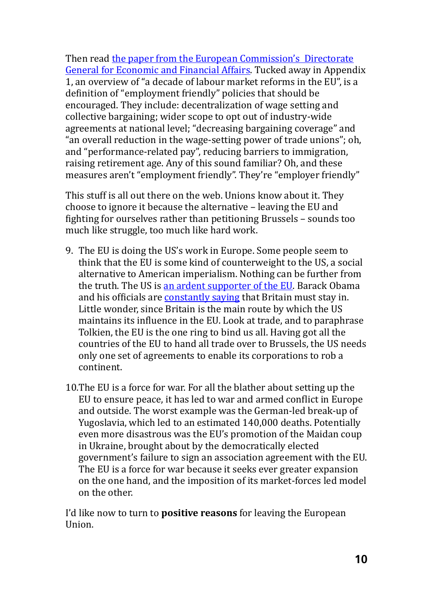Then read the paper from the European Commission's Directorate General for Economic and Financial Affairs. Tucked away in Appendix 1, an overview of "a decade of labour market reforms in the EU", is a definition of "employment friendly" policies that should be encouraged. They include: decentralization of wage setting and collective bargaining; wider scope to opt out of industry-wide agreements at national level; "decreasing bargaining coverage" and " an overall reduction in the wage-setting power of trade unions"; oh, and "performance-related pay", reducing barriers to immigration, raising retirement age. Any of this sound familiar? Oh, and these measures aren't "employment friendly". They're "employer friendly"

This stuff is all out there on the web. Unions know about it. They choose to ignore it because the alternative  $-$  leaving the EU and fighting for ourselves rather than petitioning Brussels  $-$  sounds too much like struggle, too much like hard work.

- 9. The EU is doing the US's work in Europe. Some people seem to think that the EU is some kind of counterweight to the US, a social alternative to American imperialism. Nothing can be further from the truth. The US is an ardent supporter of the EU. Barack Obama and his officials are **constantly saying** that Britain must stay in. Little wonder, since Britain is the main route by which the US maintains its influence in the EU. Look at trade, and to paraphrase Tolkien, the EU is the one ring to bind us all. Having got all the countries of the EU to hand all trade over to Brussels, the US needs only one set of agreements to enable its corporations to rob a continent.
- 10. The EU is a force for war. For all the blather about setting up the EU to ensure peace, it has led to war and armed conflict in Europe and outside. The worst example was the German-led break-up of Yugoslavia, which led to an estimated 140,000 deaths. Potentially even more disastrous was the EU's promotion of the Maidan coup in Ukraine, brought about by the democratically elected government's failure to sign an association agreement with the EU. The EU is a force for war because it seeks ever greater expansion on the one hand, and the imposition of its market-forces led model on the other.

I'd like now to turn to **positive reasons** for leaving the European Union.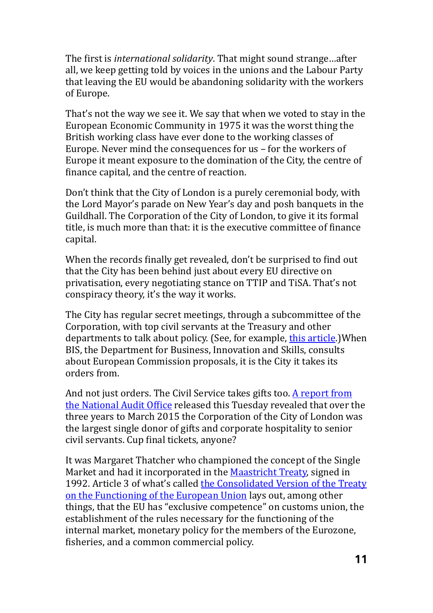The first is *international solidarity*. That might sound strange...after all, we keep getting told by voices in the unions and the Labour Party that leaving the EU would be abandoning solidarity with the workers of Europe.

That's not the way we see it. We say that when we voted to stay in the European Economic Community in 1975 it was the worst thing the British working class have ever done to the working classes of Europe. Never mind the consequences for us  $-$  for the workers of Europe it meant exposure to the domination of the City, the centre of finance capital, and the centre of reaction.

Don't think that the City of London is a purely ceremonial body, with the Lord Mayor's parade on New Year's day and posh banquets in the Guildhall. The Corporation of the City of London, to give it its formal title, is much more than that: it is the executive committee of finance capital. 

When the records finally get revealed, don't be surprised to find out that the City has been behind just about every EU directive on privatisation, every negotiating stance on TTIP and TiSA. That's not conspiracy theory, it's the way it works.

The City has regular secret meetings, through a subcommittee of the Corporation, with top civil servants at the Treasury and other departments to talk about policy. (See, for example, this article.) When BIS, the Department for Business, Innovation and Skills, consults about European Commission proposals, it is the City it takes its orders from. 

And not just orders. The Civil Service takes gifts too. A report from the National Audit Office released this Tuesday revealed that over the three years to March 2015 the Corporation of the City of London was the largest single donor of gifts and corporate hospitality to senior civil servants. Cup final tickets, anyone?

It was Margaret Thatcher who championed the concept of the Single Market and had it incorporated in the Maastricht Treaty, signed in 1992. Article 3 of what's called the Consolidated Version of the Treaty on the Functioning of the European Union lays out, among other things, that the EU has "exclusive competence" on customs union, the establishment of the rules necessary for the functioning of the internal market, monetary policy for the members of the Eurozone, fisheries, and a common commercial policy.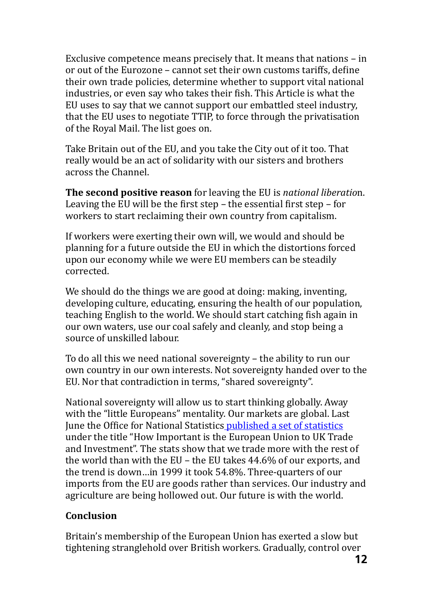Exclusive competence means precisely that. It means that nations  $-$  in or out of the Eurozone – cannot set their own customs tariffs, define their own trade policies, determine whether to support vital national industries, or even say who takes their fish. This Article is what the EU uses to say that we cannot support our embattled steel industry, that the EU uses to negotiate TTIP, to force through the privatisation of the Royal Mail. The list goes on.

Take Britain out of the EU, and you take the City out of it too. That really would be an act of solidarity with our sisters and brothers across the Channel.

**The second positive reason** for leaving the EU is *national liberation*. Leaving the EU will be the first step – the essential first step – for workers to start reclaiming their own country from capitalism.

If workers were exerting their own will, we would and should be planning for a future outside the EU in which the distortions forced upon our economy while we were EU members can be steadily corrected. 

We should do the things we are good at doing: making, inventing, developing culture, educating, ensuring the health of our population, teaching English to the world. We should start catching fish again in our own waters, use our coal safely and cleanly, and stop being a source of unskilled labour.

To do all this we need national sovereignty – the ability to run our own country in our own interests. Not sovereignty handed over to the EU. Nor that contradiction in terms, "shared sovereignty".

National sovereignty will allow us to start thinking globally. Away with the "little Europeans" mentality. Our markets are global. Last June the Office for National Statistics published a set of statistics under the title "How Important is the European Union to UK Trade and Investment". The stats show that we trade more with the rest of the world than with the EU – the EU takes  $44.6\%$  of our exports, and the trend is down...in 1999 it took 54.8%. Three-quarters of our imports from the EU are goods rather than services. Our industry and agriculture are being hollowed out. Our future is with the world.

## **Conclusion**

Britain's membership of the European Union has exerted a slow but tightening stranglehold over British workers. Gradually, control over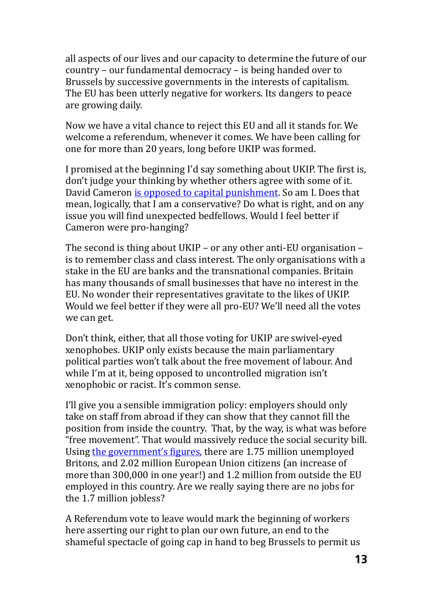all aspects of our lives and our capacity to determine the future of our country – our fundamental democracy – is being handed over to Brussels by successive governments in the interests of capitalism. The EU has been utterly negative for workers. Its dangers to peace are growing daily.

Now we have a vital chance to reject this EU and all it stands for. We welcome a referendum, whenever it comes. We have been calling for one for more than 20 years, long before UKIP was formed.

I promised at the beginning I'd say something about UKIP. The first is, don't judge your thinking by whether others agree with some of it. David Cameron is opposed to capital punishment. So am I. Does that mean, logically, that I am a conservative? Do what is right, and on any issue you will find unexpected bedfellows. Would I feel better if Cameron were pro-hanging?

The second is thing about UKIP – or any other anti-EU organisation – is to remember class and class interest. The only organisations with a stake in the EU are banks and the transnational companies. Britain has many thousands of small businesses that have no interest in the EU. No wonder their representatives gravitate to the likes of UKIP. Would we feel better if they were all pro-EU? We'll need all the votes we can get.

Don't think, either, that all those voting for UKIP are swivel-eyed xenophobes. UKIP only exists because the main parliamentary political parties won't talk about the free movement of labour. And while I'm at it, being opposed to uncontrolled migration isn't xenophobic or racist. It's common sense.

I'll give you a sensible immigration policy: employers should only take on staff from abroad if they can show that they cannot fill the position from inside the country. That, by the way, is what was before "free movement". That would massively reduce the social security bill. Using the government's figures, there are 1.75 million unemployed Britons, and 2.02 million European Union citizens (an increase of more than  $300,000$  in one year!) and  $1.2$  million from outside the EU employed in this country. Are we really saying there are no jobs for the 1.7 million jobless?

A Referendum vote to leave would mark the beginning of workers here asserting our right to plan our own future, an end to the shameful spectacle of going cap in hand to beg Brussels to permit us